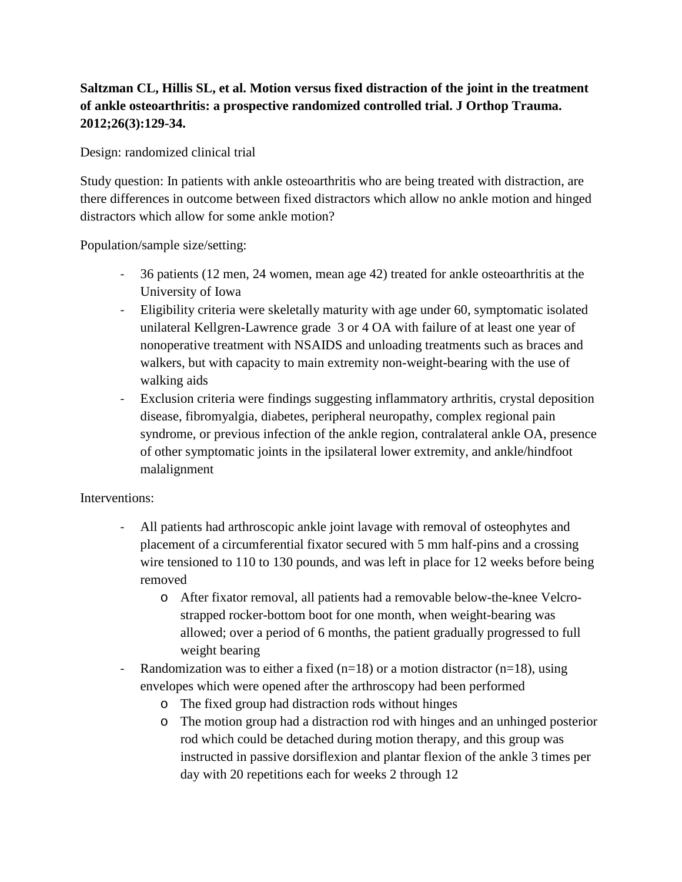## **Saltzman CL, Hillis SL, et al. Motion versus fixed distraction of the joint in the treatment of ankle osteoarthritis: a prospective randomized controlled trial. J Orthop Trauma. 2012;26(3):129-34.**

Design: randomized clinical trial

Study question: In patients with ankle osteoarthritis who are being treated with distraction, are there differences in outcome between fixed distractors which allow no ankle motion and hinged distractors which allow for some ankle motion?

Population/sample size/setting:

- 36 patients (12 men, 24 women, mean age 42) treated for ankle osteoarthritis at the University of Iowa
- Eligibility criteria were skeletally maturity with age under 60, symptomatic isolated unilateral Kellgren-Lawrence grade 3 or 4 OA with failure of at least one year of nonoperative treatment with NSAIDS and unloading treatments such as braces and walkers, but with capacity to main extremity non-weight-bearing with the use of walking aids
- Exclusion criteria were findings suggesting inflammatory arthritis, crystal deposition disease, fibromyalgia, diabetes, peripheral neuropathy, complex regional pain syndrome, or previous infection of the ankle region, contralateral ankle OA, presence of other symptomatic joints in the ipsilateral lower extremity, and ankle/hindfoot malalignment

## Interventions:

- All patients had arthroscopic ankle joint lavage with removal of osteophytes and placement of a circumferential fixator secured with 5 mm half-pins and a crossing wire tensioned to 110 to 130 pounds, and was left in place for 12 weeks before being removed
	- o After fixator removal, all patients had a removable below-the-knee Velcrostrapped rocker-bottom boot for one month, when weight-bearing was allowed; over a period of 6 months, the patient gradually progressed to full weight bearing
- Randomization was to either a fixed  $(n=18)$  or a motion distractor  $(n=18)$ , using envelopes which were opened after the arthroscopy had been performed
	- o The fixed group had distraction rods without hinges
	- o The motion group had a distraction rod with hinges and an unhinged posterior rod which could be detached during motion therapy, and this group was instructed in passive dorsiflexion and plantar flexion of the ankle 3 times per day with 20 repetitions each for weeks 2 through 12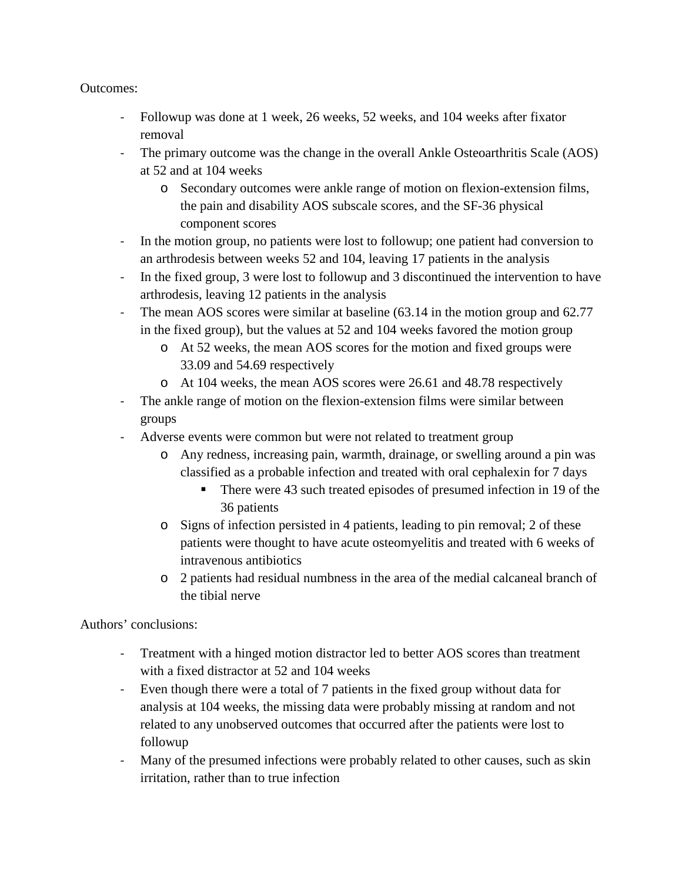Outcomes:

- Followup was done at 1 week, 26 weeks, 52 weeks, and 104 weeks after fixator removal
- The primary outcome was the change in the overall Ankle Osteoarthritis Scale (AOS) at 52 and at 104 weeks
	- o Secondary outcomes were ankle range of motion on flexion-extension films, the pain and disability AOS subscale scores, and the SF-36 physical component scores
- In the motion group, no patients were lost to followup; one patient had conversion to an arthrodesis between weeks 52 and 104, leaving 17 patients in the analysis
- In the fixed group, 3 were lost to followup and 3 discontinued the intervention to have arthrodesis, leaving 12 patients in the analysis
- The mean AOS scores were similar at baseline (63.14 in the motion group and 62.77 in the fixed group), but the values at 52 and 104 weeks favored the motion group
	- o At 52 weeks, the mean AOS scores for the motion and fixed groups were 33.09 and 54.69 respectively
	- o At 104 weeks, the mean AOS scores were 26.61 and 48.78 respectively
- The ankle range of motion on the flexion-extension films were similar between groups
- Adverse events were common but were not related to treatment group
	- o Any redness, increasing pain, warmth, drainage, or swelling around a pin was classified as a probable infection and treated with oral cephalexin for 7 days
		- There were 43 such treated episodes of presumed infection in 19 of the 36 patients
	- o Signs of infection persisted in 4 patients, leading to pin removal; 2 of these patients were thought to have acute osteomyelitis and treated with 6 weeks of intravenous antibiotics
	- o 2 patients had residual numbness in the area of the medial calcaneal branch of the tibial nerve

Authors' conclusions:

- Treatment with a hinged motion distractor led to better AOS scores than treatment with a fixed distractor at 52 and 104 weeks
- Even though there were a total of 7 patients in the fixed group without data for analysis at 104 weeks, the missing data were probably missing at random and not related to any unobserved outcomes that occurred after the patients were lost to followup
- Many of the presumed infections were probably related to other causes, such as skin irritation, rather than to true infection